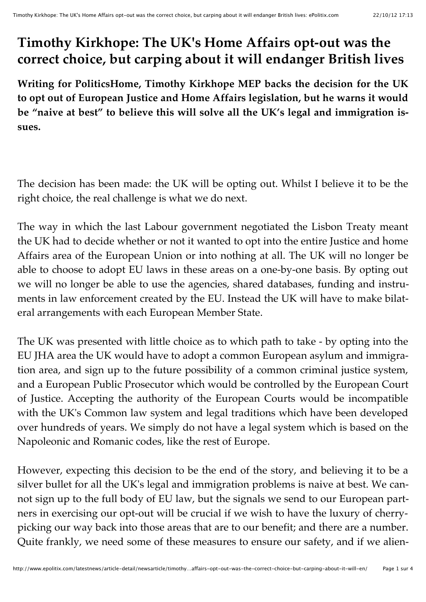## **Timothy Kirkhope: The UK's Home Affairs opt-out was the correct choice, but carping about it will endanger British lives**

**Writing for PoliticsHome, Timothy Kirkhope MEP backs the decision for the UK to opt out of European Justice and Home Affairs legislation, but he warns it would be "naive at best" to believe this will solve all the UK's legal and immigration issues.**

The decision has been made: the UK will be opting out. Whilst I believe it to be the right choice, the real challenge is what we do next.

The way in which the last Labour government negotiated the Lisbon Treaty meant the UK had to decide whether or not it wanted to opt into the entire Justice and home Affairs area of the European Union or into nothing at all. The UK will no longer be able to choose to adopt EU laws in these areas on a one-by-one basis. By opting out we will no longer be able to use the agencies, shared databases, funding and instruments in law enforcement created by the EU. Instead the UK will have to make bilateral arrangements with each European Member State.

The UK was presented with little choice as to which path to take - by opting into the EU JHA area the UK would have to adopt a common European asylum and immigration area, and sign up to the future possibility of a common criminal justice system, and a European Public Prosecutor which would be controlled by the European Court of Justice. Accepting the authority of the European Courts would be incompatible with the UK's Common law system and legal traditions which have been developed over hundreds of years. We simply do not have a legal system which is based on the Napoleonic and Romanic codes, like the rest of Europe.

However, expecting this decision to be the end of the story, and believing it to be a silver bullet for all the UK's legal and immigration problems is naive at best. We cannot sign up to the full body of EU law, but the signals we send to our European partners in exercising our opt-out will be crucial if we wish to have the luxury of cherrypicking our way back into those areas that are to our benefit; and there are a number. Quite frankly, we need some of these measures to ensure our safety, and if we alien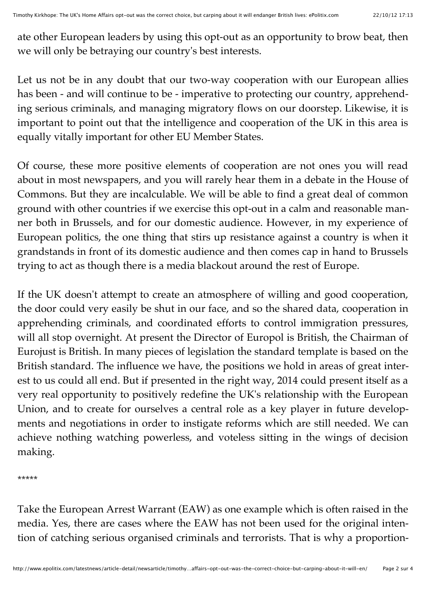ate other European leaders by using this opt-out as an opportunity to brow beat, then we will only be betraying our country's best interests.

Let us not be in any doubt that our two-way cooperation with our European allies has been - and will continue to be - imperative to protecting our country, apprehending serious criminals, and managing migratory flows on our doorstep. Likewise, it is important to point out that the intelligence and cooperation of the UK in this area is equally vitally important for other EU Member States.

Of course, these more positive elements of cooperation are not ones you will read about in most newspapers, and you will rarely hear them in a debate in the House of Commons. But they are incalculable. We will be able to find a great deal of common ground with other countries if we exercise this opt-out in a calm and reasonable manner both in Brussels, and for our domestic audience. However, in my experience of European politics, the one thing that stirs up resistance against a country is when it grandstands in front of its domestic audience and then comes cap in hand to Brussels trying to act as though there is a media blackout around the rest of Europe.

If the UK doesn't attempt to create an atmosphere of willing and good cooperation, the door could very easily be shut in our face, and so the shared data, cooperation in apprehending criminals, and coordinated efforts to control immigration pressures, will all stop overnight. At present the Director of Europol is British, the Chairman of Eurojust is British. In many pieces of legislation the standard template is based on the British standard. The influence we have, the positions we hold in areas of great interest to us could all end. But if presented in the right way, 2014 could present itself as a very real opportunity to positively redefine the UK's relationship with the European Union, and to create for ourselves a central role as a key player in future developments and negotiations in order to instigate reforms which are still needed. We can achieve nothing watching powerless, and voteless sitting in the wings of decision making.

\*\*\*\*\*

Take the European Arrest Warrant (EAW) as one example which is often raised in the media. Yes, there are cases where the EAW has not been used for the original intention of catching serious organised criminals and terrorists. That is why a proportion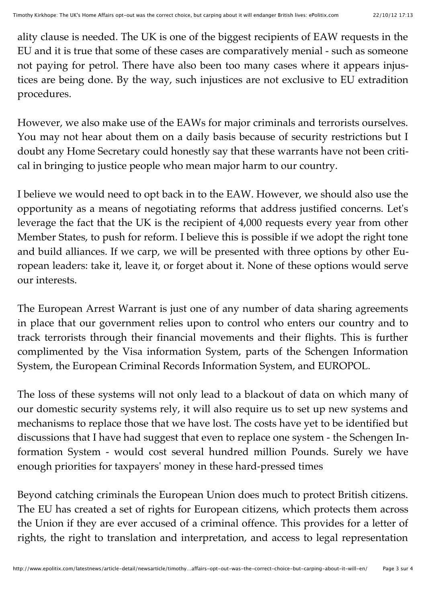ality clause is needed. The UK is one of the biggest recipients of EAW requests in the EU and it is true that some of these cases are comparatively menial - such as someone not paying for petrol. There have also been too many cases where it appears injustices are being done. By the way, such injustices are not exclusive to EU extradition procedures.

However, we also make use of the EAWs for major criminals and terrorists ourselves. You may not hear about them on a daily basis because of security restrictions but I doubt any Home Secretary could honestly say that these warrants have not been critical in bringing to justice people who mean major harm to our country.

I believe we would need to opt back in to the EAW. However, we should also use the opportunity as a means of negotiating reforms that address justified concerns. Let's leverage the fact that the UK is the recipient of 4,000 requests every year from other Member States, to push for reform. I believe this is possible if we adopt the right tone and build alliances. If we carp, we will be presented with three options by other European leaders: take it, leave it, or forget about it. None of these options would serve our interests.

The European Arrest Warrant is just one of any number of data sharing agreements in place that our government relies upon to control who enters our country and to track terrorists through their financial movements and their flights. This is further complimented by the Visa information System, parts of the Schengen Information System, the European Criminal Records Information System, and EUROPOL.

The loss of these systems will not only lead to a blackout of data on which many of our domestic security systems rely, it will also require us to set up new systems and mechanisms to replace those that we have lost. The costs have yet to be identified but discussions that I have had suggest that even to replace one system - the Schengen Information System - would cost several hundred million Pounds. Surely we have enough priorities for taxpayers' money in these hard-pressed times

Beyond catching criminals the European Union does much to protect British citizens. The EU has created a set of rights for European citizens, which protects them across the Union if they are ever accused of a criminal offence. This provides for a letter of rights, the right to translation and interpretation, and access to legal representation